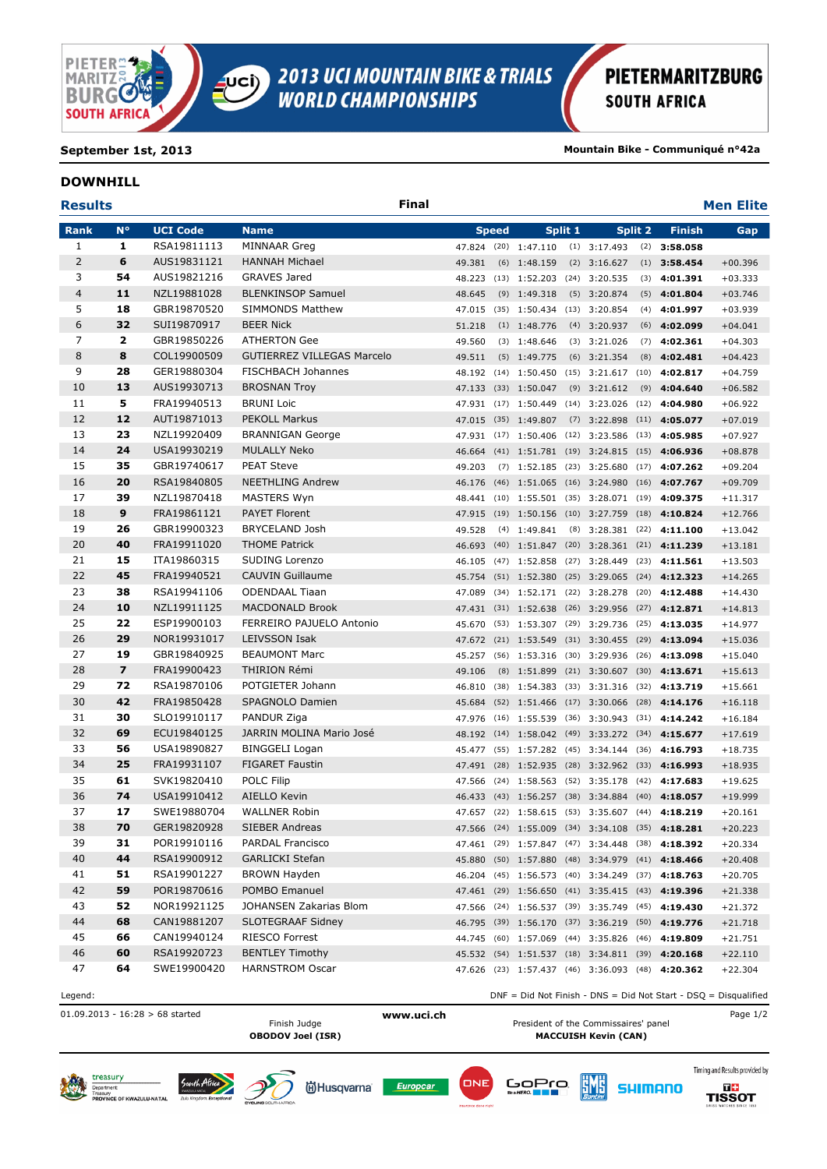

**September 1st, 2013 Mountain Bike - Communiqué n°42a**

## **DOWNHILL**

| <b>Results</b> |                         |                            | Final                                   |                                    |                |         |                                                  |         |                                                                                                      | <b>Men Elite</b>                                                |
|----------------|-------------------------|----------------------------|-----------------------------------------|------------------------------------|----------------|---------|--------------------------------------------------|---------|------------------------------------------------------------------------------------------------------|-----------------------------------------------------------------|
| Rank           | $N^{\circ}$             | <b>UCI Code</b>            | <b>Name</b>                             | <b>Speed</b>                       |                | Split 1 |                                                  | Split 2 | <b>Finish</b>                                                                                        | Gap                                                             |
| $\mathbf{1}$   | 1                       | RSA19811113                | <b>MINNAAR Greg</b>                     | 47.824 (20) 1:47.110               |                |         | $(1)$ 3:17.493                                   |         | $(2)$ 3:58.058                                                                                       |                                                                 |
| $\overline{2}$ | 6                       | AUS19831121                | <b>HANNAH Michael</b>                   | 49.381                             | $(6)$ 1:48.159 |         | $(2)$ 3:16.627                                   |         | $(1)$ 3:58.454                                                                                       | $+00.396$                                                       |
| 3              | 54                      | AUS19821216                | <b>GRAVES Jared</b>                     | 48.223                             |                |         | $(13)$ 1:52.203 $(24)$ 3:20.535                  |         | $(3)$ 4:01.391                                                                                       | $+03.333$                                                       |
| $\overline{4}$ | 11                      | NZL19881028                | <b>BLENKINSOP Samuel</b>                | 48.645                             | $(9)$ 1:49.318 |         | $(5)$ 3:20.874                                   |         | $(5)$ 4:01.804                                                                                       | $+03.746$                                                       |
| 5              | 18                      | GBR19870520                | <b>SIMMONDS Matthew</b>                 | 47.015                             |                |         | (35) 1:50.434 (13) 3:20.854                      |         | $(4)$ 4:01.997                                                                                       | $+03.939$                                                       |
| 6              | 32                      | SUI19870917                | <b>BEER Nick</b>                        | 51.218                             | $(1)$ 1:48.776 |         | $(4)$ 3:20.937                                   |         | $(6)$ 4:02.099                                                                                       | $+04.041$                                                       |
| 7              | $\overline{\mathbf{2}}$ | GBR19850226                | <b>ATHERTON Gee</b>                     | 49.560                             | $(3)$ 1:48.646 |         | $(3)$ 3:21.026                                   |         | $(7)$ 4:02.361                                                                                       | $+04.303$                                                       |
| 8              | 8                       | COL19900509                | <b>GUTIERREZ VILLEGAS Marcelo</b>       | 49.511                             | $(5)$ 1:49.775 |         | $(6)$ 3:21.354                                   |         | $(8)$ 4:02.481                                                                                       | $+04.423$                                                       |
| 9              | 28                      | GER19880304                | <b>FISCHBACH Johannes</b>               |                                    |                |         |                                                  |         | 48.192 (14) 1:50.450 (15) 3:21.617 (10) 4:02.817                                                     | $+04.759$                                                       |
| 10             | 13                      | AUS19930713                | <b>BROSNAN Troy</b>                     | 47.133 (33) 1:50.047               |                |         | $(9)$ 3:21.612                                   |         | $(9)$ 4:04.640                                                                                       | $+06.582$                                                       |
| 11             | 5                       | FRA19940513                | <b>BRUNI Loic</b>                       |                                    |                |         |                                                  |         | 47.931 (17) 1:50.449 (14) 3:23.026 (12) 4:04.980                                                     | $+06.922$                                                       |
| 12             | 12                      | AUT19871013                | <b>PEKOLL Markus</b>                    | 47.015 (35) 1:49.807               |                |         | $(7)$ 3:22.898                                   |         | $(11)$ 4:05.077                                                                                      | $+07.019$                                                       |
| 13             | 23                      | NZL19920409                | <b>BRANNIGAN George</b>                 |                                    |                |         |                                                  |         | 47.931 (17) 1:50.406 (12) 3:23.586 (13) 4:05.985                                                     | $+07.927$                                                       |
| 14             | 24                      | USA19930219                | <b>MULALLY Neko</b>                     | 46.664                             |                |         |                                                  |         | (41) 1:51.781 (19) 3:24.815 (15) 4:06.936                                                            | $+08.878$                                                       |
| 15             | 35                      | GBR19740617                | <b>PEAT Steve</b>                       | 49.203                             |                |         | $(7)$ 1:52.185 $(23)$ 3:25.680                   |         | $(17)$ 4:07.262                                                                                      | $+09.204$                                                       |
| 16             | 20                      | RSA19840805                | <b>NEETHLING Andrew</b>                 | 46.176                             |                |         | (46) 1:51.065 (16) 3:24.980                      |         | $(16)$ 4:07.767                                                                                      | $+09.709$                                                       |
| 17             | 39                      | NZL19870418                | MASTERS Wyn                             | 48.441                             |                |         | $(10)$ 1:55.501 (35) 3:28.071                    | (19)    | 4:09.375                                                                                             | $+11.317$                                                       |
| 18             | 9                       | FRA19861121                | <b>PAYET Florent</b>                    | 47.915 (19) 1:50.156 (10) 3:27.759 |                |         |                                                  | (18)    | 4:10.824                                                                                             | $+12.766$                                                       |
| 19             | 26                      | GBR19900323                | BRYCELAND Josh                          | 49.528                             | $(4)$ 1:49.841 |         | $(8)$ 3:28.381                                   | (22)    | 4:11.100                                                                                             | $+13.042$                                                       |
| 20             | 40                      | FRA19911020                | <b>THOME Patrick</b>                    |                                    |                |         |                                                  |         | 46.693 (40) 1:51.847 (20) 3:28.361 (21) 4:11.239                                                     | $+13.181$                                                       |
| 21             | 15                      | ITA19860315                | SUDING Lorenzo                          |                                    |                |         | 46.105 (47) 1:52.858 (27) 3:28.449               |         | $(23)$ 4:11.561                                                                                      | $+13.503$                                                       |
| 22             | 45                      | FRA19940521                | <b>CAUVIN Guillaume</b>                 |                                    |                |         |                                                  |         | 45.754 (51) 1:52.380 (25) 3:29.065 (24) 4:12.323                                                     | $+14.265$                                                       |
| 23             | 38                      | RSA19941106                | <b>ODENDAAL Tiaan</b>                   | 47.089                             |                |         | (34) 1:52.171 (22) 3:28.278                      |         | $(20)$ 4:12.488                                                                                      | $+14.430$                                                       |
| 24             | 10                      | NZL19911125                | <b>MACDONALD Brook</b>                  | 47.431 (31) 1:52.638 (26) 3:29.956 |                |         |                                                  |         | $(27)$ 4:12.871                                                                                      | $+14.813$                                                       |
| 25             | 22                      | ESP19900103                | FERREIRO PAJUELO Antonio                | 45.670                             |                |         | (53) 1:53.307 (29) 3:29.736                      |         | $(25)$ 4:13.035                                                                                      | $+14.977$                                                       |
| 26             | 29                      | NOR19931017                | <b>LEIVSSON Isak</b>                    | 47.672 (21) 1:53.549 (31) 3:30.455 |                |         |                                                  |         | $(29)$ 4:13.094                                                                                      | $+15.036$                                                       |
| 27             | 19                      | GBR19840925                | <b>BEAUMONT Marc</b>                    | 45.257                             |                |         | $(56)$ 1:53.316 (30) 3:29.936                    | (26)    | 4:13.098                                                                                             | $+15.040$                                                       |
| 28             | $\overline{\mathbf{z}}$ | FRA19900423                | <b>THIRION Rémi</b>                     | 49.106                             |                |         | (8) 1:51.899 (21) 3:30.607                       |         | $(30)$ 4:13.671                                                                                      | $+15.613$                                                       |
| 29             | 72                      | RSA19870106                | POTGIETER Johann                        | 46.810                             |                |         |                                                  |         | (38) 1:54.383 (33) 3:31.316 (32) 4:13.719                                                            | $+15.661$                                                       |
| 30             | 42                      | FRA19850428                | SPAGNOLO Damien                         | 45.684                             |                |         | $(52)$ 1:51.466 (17) 3:30.066                    |         | $(28)$ 4:14.176                                                                                      | $+16.118$                                                       |
| 31             | 30                      | SLO19910117                | PANDUR Ziga                             | 47.976                             |                |         |                                                  |         | $(16)$ 1:55.539 (36) 3:30.943 (31) 4:14.242                                                          | $+16.184$                                                       |
| 32             | 69                      | ECU19840125                | JARRIN MOLINA Mario José                |                                    |                |         |                                                  |         | 48.192 (14) 1:58.042 (49) 3:33.272 (34) 4:15.677                                                     | $+17.619$                                                       |
| 33             | 56                      | USA19890827                | <b>BINGGELI Logan</b>                   |                                    |                |         |                                                  |         | 45.477 (55) 1:57.282 (45) 3:34.144 (36) 4:16.793                                                     | $+18.735$                                                       |
| 34             | 25                      | FRA19931107                | <b>FIGARET Faustin</b>                  |                                    |                |         |                                                  |         | 47.491 (28) 1:52.935 (28) 3:32.962 (33) 4:16.993                                                     | $+18.935$                                                       |
| 35             | 61                      | SVK19820410                | <b>POLC Filip</b>                       | 47.566                             |                |         | $(24)$ 1:58.563 (52) 3:35.178                    |         | $(42)$ 4:17.683                                                                                      | $+19.625$                                                       |
| 36             | 74                      | USA19910412                | AIELLO Kevin                            | 46.433                             |                |         | $(43)$ 1:56.257 (38) 3:34.884                    | (40)    | 4:18.057                                                                                             | $+19.999$                                                       |
| 37             | 17                      | SWE19880704                | <b>WALLNER Robin</b>                    |                                    |                |         |                                                  |         | 47.657 (22) 1:58.615 (53) 3:35.607 (44) 4:18.219                                                     | $+20.161$                                                       |
| 38             | 70                      | GER19820928                | SIEBER Andreas                          |                                    |                |         | 47.566 (24) 1:55.009 (34) 3:34.108 (35) 4:18.281 |         |                                                                                                      | $+20.223$                                                       |
| 39<br>40       | 31<br>44                | POR19910116                | PARDAL Francisco                        |                                    |                |         |                                                  |         | 47.461 (29) 1:57.847 (47) 3:34.448 (38) 4:18.392                                                     | $+20.334$                                                       |
| 41             | 51                      | RSA19900912                | <b>GARLICKI Stefan</b>                  |                                    |                |         |                                                  |         | 45.880 (50) 1:57.880 (48) 3:34.979 (41) 4:18.466                                                     | $+20.408$                                                       |
|                |                         | RSA19901227                | <b>BROWN Hayden</b>                     |                                    |                |         |                                                  |         | 46.204 (45) 1:56.573 (40) 3:34.249 (37) 4:18.763                                                     | $+20.705$                                                       |
| 42<br>43       | 59<br>52                | POR19870616<br>NOR19921125 | POMBO Emanuel<br>JOHANSEN Zakarias Blom |                                    |                |         |                                                  |         | 47.461 (29) 1:56.650 (41) 3:35.415 (43) 4:19.396                                                     | $+21.338$                                                       |
| 44             | 68                      | CAN19881207                | <b>SLOTEGRAAF Sidney</b>                |                                    |                |         |                                                  |         | 47.566 (24) 1:56.537 (39) 3:35.749 (45) 4:19.430                                                     | $+21.372$                                                       |
| 45             | 66                      | CAN19940124                | RIESCO Forrest                          |                                    |                |         |                                                  |         | 46.795 (39) 1:56.170 (37) 3:36.219 (50) 4:19.776<br>44.745 (60) 1:57.069 (44) 3:35.826 (46) 4:19.809 | $+21.718$                                                       |
| 46             | 60                      | RSA19920723                | <b>BENTLEY Timothy</b>                  |                                    |                |         |                                                  |         | 45.532 (54) 1:51.537 (18) 3:34.811 (39) 4:20.168                                                     | $+21.751$<br>$+22.110$                                          |
| 47             | 64                      | SWE19900420                | <b>HARNSTROM Oscar</b>                  |                                    |                |         |                                                  |         | 47.626 (23) 1:57.437 (46) 3:36.093 (48) 4:20.362                                                     | $+22.304$                                                       |
| Legend:        |                         |                            |                                         |                                    |                |         |                                                  |         |                                                                                                      | DNF = Did Not Finish - DNS = Did Not Start - DSQ = Disqualified |

01.09.2013 - 16:28 > 68 started **www.uci.ch** Page 1/2



President of the Commissaires' panel **OBODOV Joel (ISR) MACCUISH Kevin (CAN)**

**ËMË** 











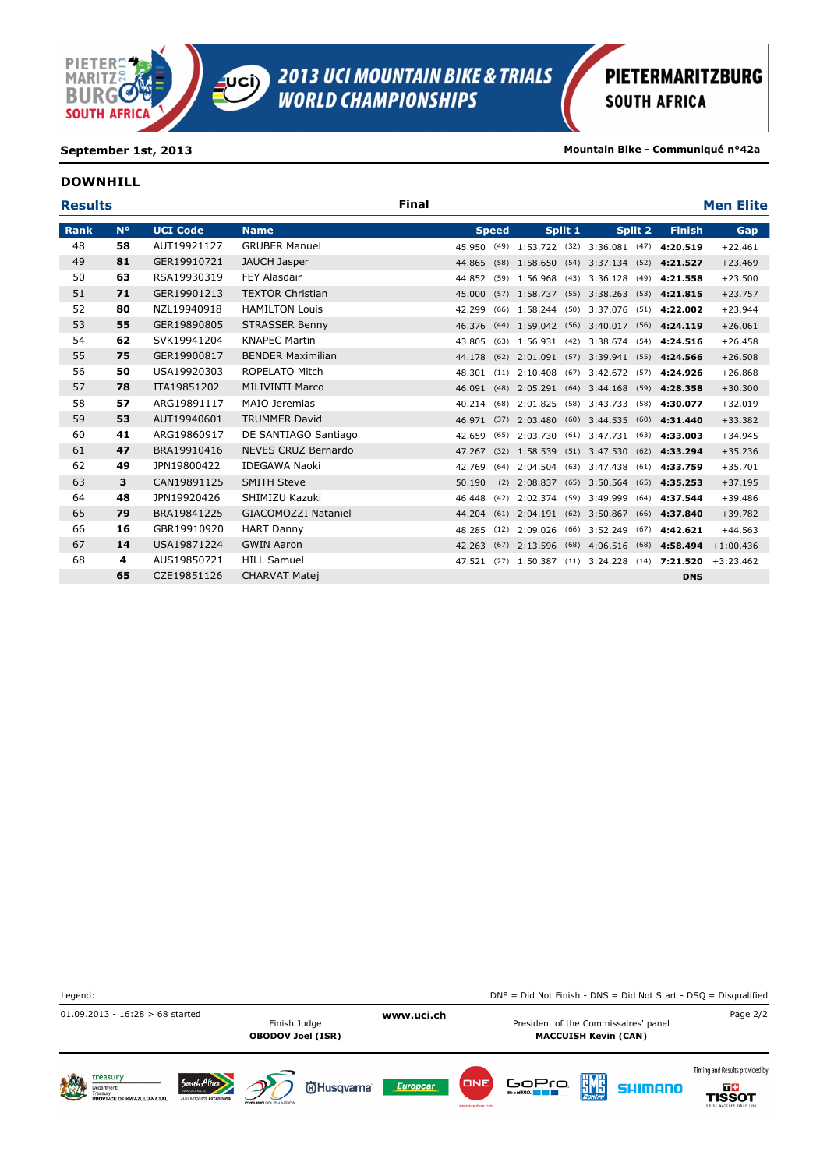

**September 1st, 2013 Mountain Bike - Communiqué n°42a**

### **DOWNHILL**

| <b>Results</b> |             |                 |                            | <b>Final</b> |        |              |                                 |         |                 |         |                                                  | <b>Men Elite</b> |
|----------------|-------------|-----------------|----------------------------|--------------|--------|--------------|---------------------------------|---------|-----------------|---------|--------------------------------------------------|------------------|
| <b>Rank</b>    | $N^{\circ}$ | <b>UCI Code</b> | <b>Name</b>                |              |        | <b>Speed</b> |                                 | Split 1 |                 | Split 2 | <b>Finish</b>                                    | <b>Gap</b>       |
| 48             | 58          | AUT19921127     | <b>GRUBER Manuel</b>       |              |        |              |                                 |         |                 |         | 45.950 (49) 1:53.722 (32) 3:36.081 (47) 4:20.519 | $+22.461$        |
| 49             | 81          | GER19910721     | JAUCH Jasper               |              |        |              |                                 |         |                 |         | 44.865 (58) 1:58.650 (54) 3:37.134 (52) 4:21.527 | $+23.469$        |
| 50             | 63          | RSA19930319     | <b>FEY Alasdair</b>        |              | 44.852 |              | $(59)$ 1:56.968                 |         | $(43)$ 3:36.128 |         | $(49)$ 4:21.558                                  | $+23.500$        |
| 51             | 71          | GER19901213     | <b>TEXTOR Christian</b>    |              | 45.000 |              |                                 |         |                 |         | $(57)$ 1:58.737 (55) 3:38.263 (53) 4:21.815      | $+23.757$        |
| 52             | 80          | NZL19940918     | <b>HAMILTON Louis</b>      |              | 42.299 |              |                                 |         |                 |         | (66) 1:58.244 (50) 3:37.076 (51) 4:22.002        | $+23.944$        |
| 53             | 55          | GER19890805     | <b>STRASSER Benny</b>      |              |        |              |                                 |         |                 |         | 46.376 (44) 1:59.042 (56) 3:40.017 (56) 4:24.119 | $+26.061$        |
| 54             | 62          | SVK19941204     | <b>KNAPEC Martin</b>       |              | 43.805 |              |                                 |         |                 |         | $(63)$ 1:56.931 (42) 3:38.674 (54) 4:24.516      | $+26.458$        |
| 55             | 75          | GER19900817     | <b>BENDER Maximilian</b>   |              |        |              |                                 |         |                 |         | 44.178 (62) 2:01.091 (57) 3:39.941 (55) 4:24.566 | $+26.508$        |
| 56             | 50          | USA19920303     | ROPELATO Mitch             |              | 48.301 |              | $(11)$ 2:10.408                 |         | $(67)$ 3:42.672 |         | $(57)$ 4:24.926                                  | $+26.868$        |
| 57             | 78          | ITA19851202     | MILIVINTI Marco            |              |        |              |                                 |         |                 |         | 46.091 (48) 2:05.291 (64) 3:44.168 (59) 4:28.358 | $+30.300$        |
| 58             | 57          | ARG19891117     | MAIO Jeremias              |              | 40.214 |              | $(68)$ 2:01.825                 |         | $(58)$ 3:43.733 |         | $(58)$ 4:30.077                                  | $+32.019$        |
| 59             | 53          | AUT19940601     | <b>TRUMMER David</b>       |              |        |              | 46.971 (37) 2:03.480            |         | $(60)$ 3:44.535 |         | $(60)$ 4:31.440                                  | $+33.382$        |
| 60             | 41          | ARG19860917     | DE SANTIAGO Santiago       |              | 42.659 |              | $(65)$ 2:03.730                 |         |                 |         | $(61)$ 3:47.731 $(63)$ 4:33.003                  | $+34.945$        |
| 61             | 47          | BRA19910416     | NEVES CRUZ Bernardo        |              | 47.267 |              | $(32)$ 1:58.539                 |         | $(51)$ 3:47.530 |         | $(62)$ 4:33.294                                  | $+35.236$        |
| 62             | 49          | JPN19800422     | <b>IDEGAWA Naoki</b>       |              | 42.769 |              | $(64)$ 2:04.504                 |         | $(63)$ 3:47.438 |         | $(61)$ 4:33.759                                  | $+35.701$        |
| 63             | 3           | CAN19891125     | <b>SMITH Steve</b>         |              | 50.190 |              | $(2)$ 2:08.837                  |         | $(65)$ 3:50.564 |         | $(65)$ 4:35.253                                  | $+37.195$        |
| 64             | 48          | JPN19920426     | SHIMIZU Kazuki             |              | 46.448 |              | $(42)$ 2:02.374                 |         | $(59)$ 3:49.999 |         | $(64)$ 4:37.544                                  | $+39.486$        |
| 65             | 79          | BRA19841225     | <b>GIACOMOZZI Nataniel</b> |              | 44.204 |              | $(61)$ 2:04.191 $(62)$ 3:50.867 |         |                 |         | $(66)$ 4:37.840                                  | $+39.782$        |
| 66             | 16          | GBR19910920     | <b>HART Danny</b>          |              | 48.285 |              | $(12)$ 2:09.026                 |         | $(66)$ 3:52.249 |         | $(67)$ 4:42.621                                  | $+44.563$        |
| 67             | 14          | USA19871224     | <b>GWIN Aaron</b>          |              | 42.263 |              | $(67)$ 2:13.596                 |         | $(68)$ 4:06.516 |         | $(68)$ 4:58.494                                  | $+1:00.436$      |
| 68             | 4           | AUS19850721     | <b>HILL Samuel</b>         |              |        |              |                                 |         |                 |         | 47.521 (27) 1:50.387 (11) 3:24.228 (14) 7:21.520 | $+3:23.462$      |
|                | 65          | CZE19851126     | <b>CHARVAT Matej</b>       |              |        |              |                                 |         |                 |         | <b>DNS</b>                                       |                  |

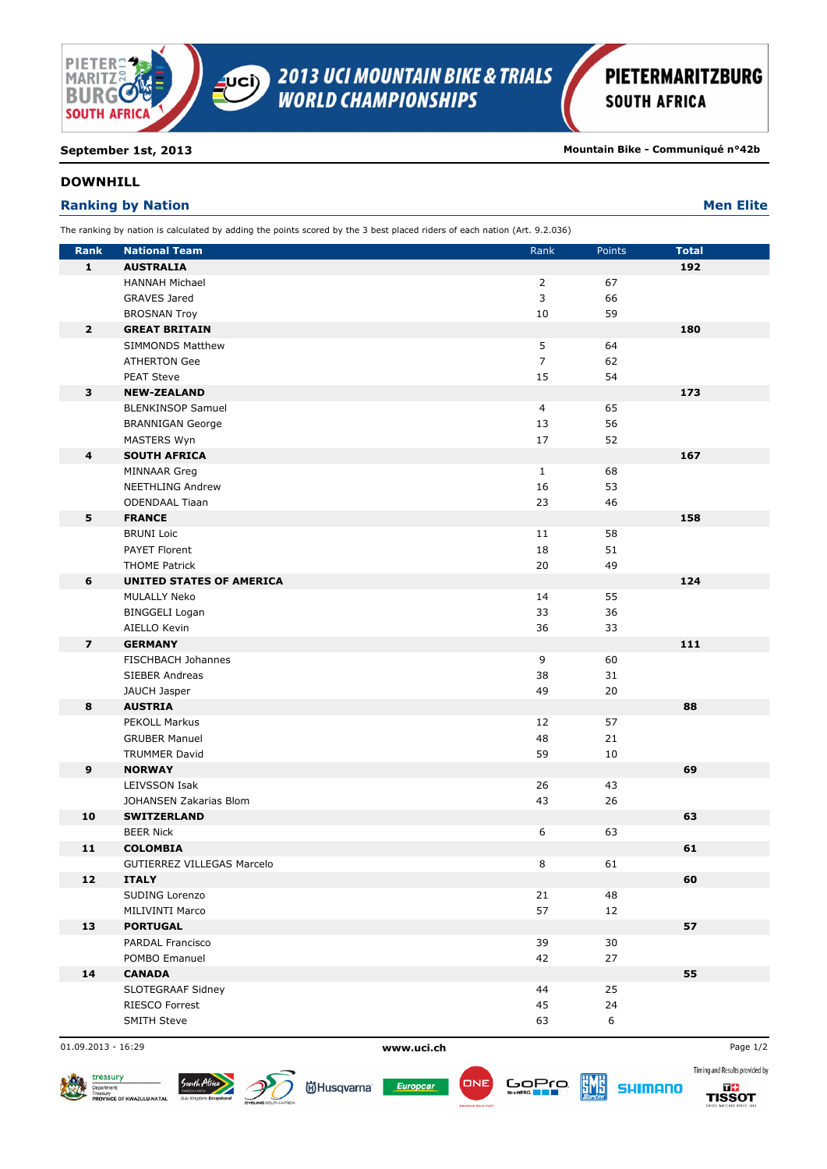

**September 1st, 2013 Mountain Bike - Communiqué n°42b** 

## **DOWNHILL**

## **Ranking by Nation Men Elite Men Elite Men Elite Men Elite Men Elite**

| The ranking by nation is calculated by adding the points scored by the 3 best placed riders of each nation (Art. 9.2.036) |  |
|---------------------------------------------------------------------------------------------------------------------------|--|
|                                                                                                                           |  |

| <b>Rank</b>             | <b>National Team</b>                  | Rank           | Points   | <b>Total</b> |
|-------------------------|---------------------------------------|----------------|----------|--------------|
| $\mathbf{1}$            | <b>AUSTRALIA</b>                      |                |          | 192          |
|                         | <b>HANNAH Michael</b>                 | $\overline{2}$ | 67       |              |
|                         | <b>GRAVES Jared</b>                   | 3              | 66       |              |
|                         | <b>BROSNAN Troy</b>                   | 10             | 59       |              |
| $\overline{2}$          | <b>GREAT BRITAIN</b>                  |                |          | 180          |
|                         | SIMMONDS Matthew                      | 5              | 64       |              |
|                         | <b>ATHERTON Gee</b>                   | $\overline{7}$ | 62       |              |
|                         | <b>PEAT Steve</b>                     | 15             | 54       |              |
| 3                       | <b>NEW-ZEALAND</b>                    |                |          | 173          |
|                         | <b>BLENKINSOP Samuel</b>              | 4              | 65       |              |
|                         | <b>BRANNIGAN George</b>               | 13             | 56       |              |
|                         | <b>MASTERS Wyn</b>                    | 17             | 52       |              |
| 4                       | <b>SOUTH AFRICA</b>                   |                |          | 167          |
|                         | MINNAAR Greg                          | $\mathbf{1}$   | 68       |              |
|                         | <b>NEETHLING Andrew</b>               | 16             | 53       |              |
|                         | <b>ODENDAAL Tiaan</b>                 | 23             | 46       |              |
| 5                       | <b>FRANCE</b>                         |                |          | 158          |
|                         | <b>BRUNI Loic</b>                     | 11             | 58       |              |
|                         | <b>PAYET Florent</b>                  | 18             | 51       |              |
|                         | <b>THOME Patrick</b>                  | 20             | 49       |              |
| 6                       | <b>UNITED STATES OF AMERICA</b>       |                |          | 124          |
|                         | MULALLY Neko                          | 14             | 55       |              |
|                         | <b>BINGGELI Logan</b>                 | 33             | 36       |              |
|                         | AIELLO Kevin                          | 36             | 33       |              |
| $\overline{\mathbf{z}}$ | <b>GERMANY</b>                        |                |          | 111          |
|                         | FISCHBACH Johannes                    | 9              | 60       |              |
|                         | <b>SIEBER Andreas</b><br>JAUCH Jasper | 38<br>49       | 31<br>20 |              |
| 8                       | <b>AUSTRIA</b>                        |                |          | 88           |
|                         | <b>PEKOLL Markus</b>                  | 12             | 57       |              |
|                         | <b>GRUBER Manuel</b>                  | 48             | 21       |              |
|                         | <b>TRUMMER David</b>                  | 59             | 10       |              |
| $\boldsymbol{9}$        | <b>NORWAY</b>                         |                |          | 69           |
|                         | <b>LEIVSSON Isak</b>                  | 26             | 43       |              |
|                         | JOHANSEN Zakarias Blom                | 43             | 26       |              |
| 10                      | <b>SWITZERLAND</b>                    |                |          | 63           |
|                         | <b>BEER Nick</b>                      | 6              | 63       |              |
| 11                      | <b>COLOMBIA</b>                       |                |          | 61           |
|                         | GUTIERREZ VILLEGAS Marcelo            | 8              | 61       |              |
| 12                      | <b>ITALY</b>                          |                |          | 60           |
|                         | SUDING Lorenzo                        | 21             | 48       |              |
|                         | MILIVINTI Marco                       | 57             | 12       |              |
| 13                      | <b>PORTUGAL</b>                       |                |          | 57           |
|                         | PARDAL Francisco                      | 39             | 30       |              |
|                         | POMBO Emanuel                         | 42             | 27       |              |
| 14                      | <b>CANADA</b>                         |                |          | 55           |
|                         | SLOTEGRAAF Sidney                     | 44             | 25       |              |
|                         | RIESCO Forrest                        | 45             | 24       |              |
|                         | <b>SMITH Steve</b>                    | 63             | 6        |              |
|                         |                                       |                |          |              |

01.09.2013 - 16:29 **www.uci.ch** Page 1/2



Europcar



**EME** 



Timing and Results provided by